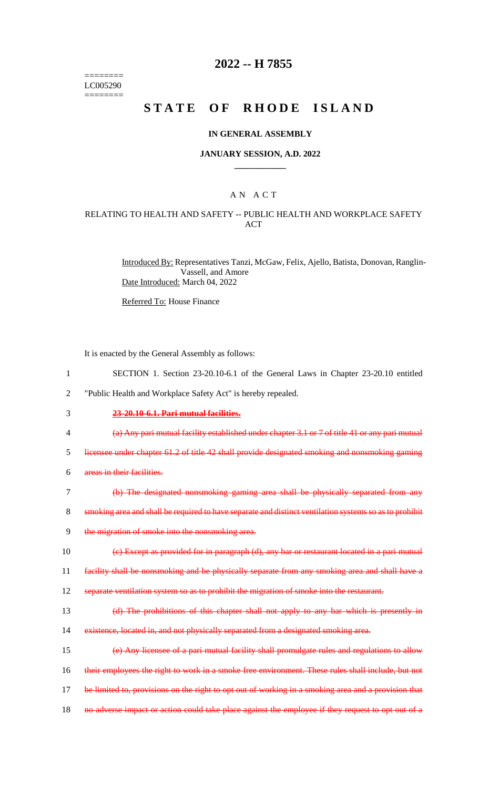======== LC005290 ========

## **2022 -- H 7855**

# **STATE OF RHODE ISLAND**

#### **IN GENERAL ASSEMBLY**

#### **JANUARY SESSION, A.D. 2022 \_\_\_\_\_\_\_\_\_\_\_\_**

### A N A C T

#### RELATING TO HEALTH AND SAFETY -- PUBLIC HEALTH AND WORKPLACE SAFETY ACT

Introduced By: Representatives Tanzi, McGaw, Felix, Ajello, Batista, Donovan, Ranglin-Vassell, and Amore Date Introduced: March 04, 2022

Referred To: House Finance

It is enacted by the General Assembly as follows:

- 1 SECTION 1. Section 23-20.10-6.1 of the General Laws in Chapter 23-20.10 entitled
- 2 "Public Health and Workplace Safety Act" is hereby repealed.
- 3 **23-20.10-6.1. Pari mutual facilities.**
- 4 (a) Any pari mutual facility established under chapter 3.1 or 7 of title 41 or any pari mutual
- 5 licensee under chapter 61.2 of title 42 shall provide designated smoking and nonsmoking gaming
- 6 areas in their facilities.
- 7 (b) The designated nonsmoking gaming area shall be physically separated from any
- 8 smoking area and shall be required to have separate and distinct ventilation systems so as to prohibit
- 9 the migration of smoke into the nonsmoking area.

10 (c) Except as provided for in paragraph (d), any bar or restaurant located in a pari mutual

11 facility shall be nonsmoking and be physically separate from any smoking area and shall have a

- 12 separate ventilation system so as to prohibit the migration of smoke into the restaurant.
- 13 (d) The prohibitions of this chapter shall not apply to any bar which is presently in
- 14 existence, located in, and not physically separated from a designated smoking area.
- 15 (e) Any licensee of a pari mutual facility shall promulgate rules and regulations to allow
- 16 their employees the right to work in a smoke free environment. These rules shall include, but not
- 17 be limited to, provisions on the right to opt out of working in a smoking area and a provision that
- 18 no adverse impact or action could take place against the employee if they request to opt out of a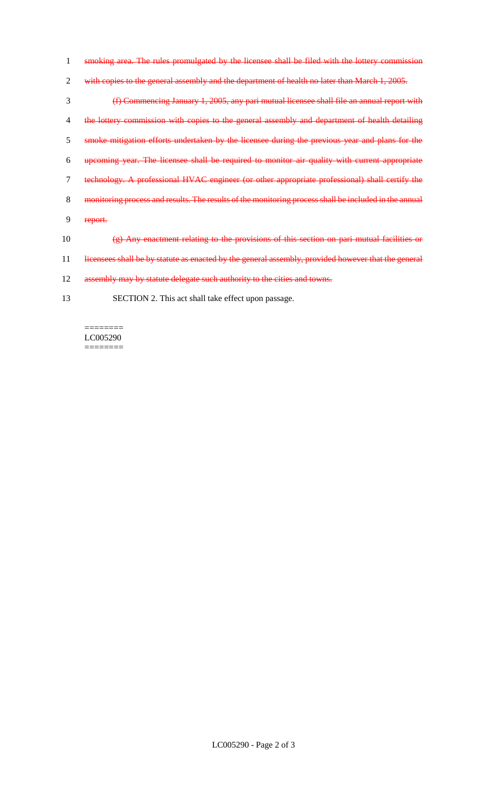- 1 smoking area. The rules promulgated by the licensee shall be filed with the lottery commission
- 2 with copies to the general assembly and the department of health no later than March 1, 2005.
- 3 (f) Commencing January 1, 2005, any pari mutual licensee shall file an annual report with 4 the lottery commission with copies to the general assembly and department of health detailing 5 smoke mitigation efforts undertaken by the licensee during the previous year and plans for the 6 upcoming year. The licensee shall be required to monitor air quality with current appropriate 7 technology. A professional HVAC engineer (or other appropriate professional) shall certify the 8 monitoring process and results. The results of the monitoring process shall be included in the annual 9 report. 10  $(g)$  Any enactment relating to the provisions of this section on pari mutual facilities or 11 licensees shall be by statute as enacted by the general assembly, provided however that the general 12 assembly may by statute delegate such authority to the cities and towns.
- 13 SECTION 2. This act shall take effect upon passage.

LC005290  $=$ 

 $=$